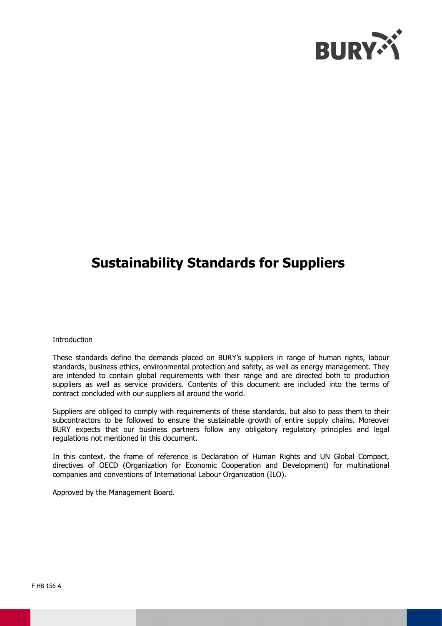

### **Sustainability Standards for Suppliers**

#### **Introduction**

These standards define the demands placed on BURY's suppliers in range of human rights, labour standards, business ethics, environmental protection and safety, as well as energy management. They are intended to contain global requirements with their range and are directed both to production suppliers as well as service providers. Contents of this document are included into the terms of contract concluded with our suppliers all around the world.

Suppliers are obliged to comply with requirements of these standards, but also to pass them to their subcontractors to be followed to ensure the sustainable growth of entire supply chains. Moreover BURY expects that our business partners follow any obligatory regulatory principles and legal regulations not mentioned in this document.

In this context, the frame of reference is Declaration of Human Rights and UN Global Compact, directives of OECD (Organization for Economic Cooperation and Development) for multinational companies and conventions of International Labour Organization (ILO).

Approved by the Management Board.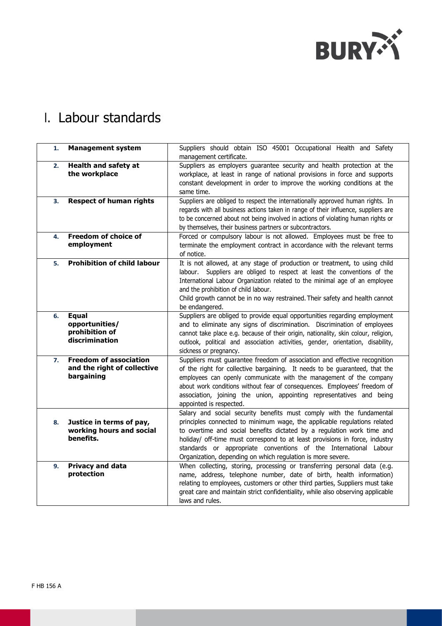

## I. Labour standards

| 1.       | <b>Management system</b>                                                   | Suppliers should obtain ISO 45001 Occupational Health and Safety<br>management certificate.                                                                                                                                                                                                                                                                                                                                                  |  |  |  |
|----------|----------------------------------------------------------------------------|----------------------------------------------------------------------------------------------------------------------------------------------------------------------------------------------------------------------------------------------------------------------------------------------------------------------------------------------------------------------------------------------------------------------------------------------|--|--|--|
| 2.       | <b>Health and safety at</b><br>the workplace                               | Suppliers as employers guarantee security and health protection at the<br>workplace, at least in range of national provisions in force and supports<br>constant development in order to improve the working conditions at the<br>same time.                                                                                                                                                                                                  |  |  |  |
| 3.<br>4. | <b>Respect of human rights</b><br>Freedom of choice of                     | Suppliers are obliged to respect the internationally approved human rights. In<br>regards with all business actions taken in range of their influence, suppliers are<br>to be concerned about not being involved in actions of violating human rights or<br>by themselves, their business partners or subcontractors.<br>Forced or compulsory labour is not allowed. Employees must be free to                                               |  |  |  |
|          | employment                                                                 | terminate the employment contract in accordance with the relevant terms<br>of notice.                                                                                                                                                                                                                                                                                                                                                        |  |  |  |
| 5.       | <b>Prohibition of child labour</b>                                         | It is not allowed, at any stage of production or treatment, to using child<br>labour. Suppliers are obliged to respect at least the conventions of the<br>International Labour Organization related to the minimal age of an employee<br>and the prohibition of child labour.<br>Child growth cannot be in no way restrained. Their safety and health cannot<br>be endangered.                                                               |  |  |  |
| 6.       | <b>Equal</b><br>opportunities/<br>prohibition of<br>discrimination         | Suppliers are obliged to provide equal opportunities regarding employment<br>and to eliminate any signs of discrimination. Discrimination of employees<br>cannot take place e.g. because of their origin, nationality, skin colour, religion,<br>outlook, political and association activities, gender, orientation, disability,<br>sickness or pregnancy.                                                                                   |  |  |  |
| 7.       | <b>Freedom of association</b><br>and the right of collective<br>bargaining | Suppliers must guarantee freedom of association and effective recognition<br>of the right for collective bargaining. It needs to be guaranteed, that the<br>employees can openly communicate with the management of the company<br>about work conditions without fear of consequences. Employees' freedom of<br>association, joining the union, appointing representatives and being<br>appointed is respected.                              |  |  |  |
| 8.       | Justice in terms of pay,<br>working hours and social<br>benefits.          | Salary and social security benefits must comply with the fundamental<br>principles connected to minimum wage, the applicable regulations related<br>to overtime and social benefits dictated by a regulation work time and<br>holiday/ off-time must correspond to at least provisions in force, industry<br>standards or appropriate conventions of the International Labour<br>Organization, depending on which regulation is more severe. |  |  |  |
| 9.       | <b>Privacy and data</b><br>protection                                      | When collecting, storing, processing or transferring personal data (e.g.<br>name, address, telephone number, date of birth, health information)<br>relating to employees, customers or other third parties, Suppliers must take<br>great care and maintain strict confidentiality, while also observing applicable<br>laws and rules.                                                                                                        |  |  |  |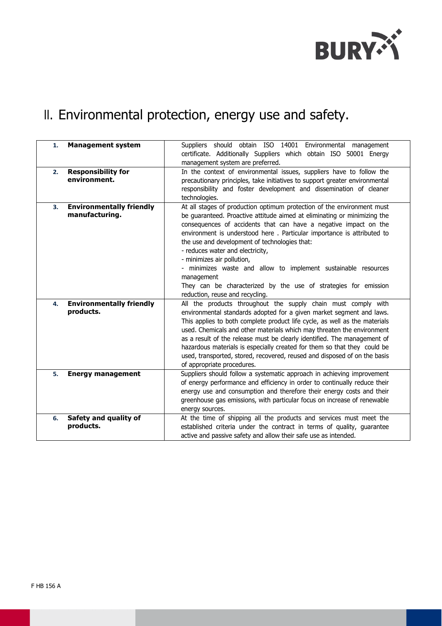

# II. Environmental protection, energy use and safety.

| 1. | <b>Management system</b>                          | Suppliers should obtain ISO 14001 Environmental management<br>certificate. Additionally Suppliers which obtain ISO 50001 Energy<br>management system are preferred.                                                                                                                                                                                                                                                                                                                                                                                                                                       |  |  |
|----|---------------------------------------------------|-----------------------------------------------------------------------------------------------------------------------------------------------------------------------------------------------------------------------------------------------------------------------------------------------------------------------------------------------------------------------------------------------------------------------------------------------------------------------------------------------------------------------------------------------------------------------------------------------------------|--|--|
| 2. | <b>Responsibility for</b><br>environment.         | In the context of environmental issues, suppliers have to follow the<br>precautionary principles, take initiatives to support greater environmental<br>responsibility and foster development and dissemination of cleaner<br>technologies.                                                                                                                                                                                                                                                                                                                                                                |  |  |
| 3. | <b>Environmentally friendly</b><br>manufacturing. | At all stages of production optimum protection of the environment must<br>be guaranteed. Proactive attitude aimed at eliminating or minimizing the<br>consequences of accidents that can have a negative impact on the<br>environment is understood here. Particular importance is attributed to<br>the use and development of technologies that:<br>- reduces water and electricity,<br>- minimizes air pollution,<br>- minimizes waste and allow to implement sustainable resources<br>management<br>They can be characterized by the use of strategies for emission<br>reduction, reuse and recycling. |  |  |
| 4. | <b>Environmentally friendly</b><br>products.      | All the products throughout the supply chain must comply with<br>environmental standards adopted for a given market segment and laws.<br>This applies to both complete product life cycle, as well as the materials<br>used. Chemicals and other materials which may threaten the environment<br>as a result of the release must be clearly identified. The management of<br>hazardous materials is especially created for them so that they could be<br>used, transported, stored, recovered, reused and disposed of on the basis<br>of appropriate procedures.                                          |  |  |
| 5. | <b>Energy management</b>                          | Suppliers should follow a systematic approach in achieving improvement<br>of energy performance and efficiency in order to continually reduce their<br>energy use and consumption and therefore their energy costs and their<br>greenhouse gas emissions, with particular focus on increase of renewable<br>energy sources.                                                                                                                                                                                                                                                                               |  |  |
| 6. | Safety and quality of<br>products.                | At the time of shipping all the products and services must meet the<br>established criteria under the contract in terms of quality, guarantee<br>active and passive safety and allow their safe use as intended.                                                                                                                                                                                                                                                                                                                                                                                          |  |  |